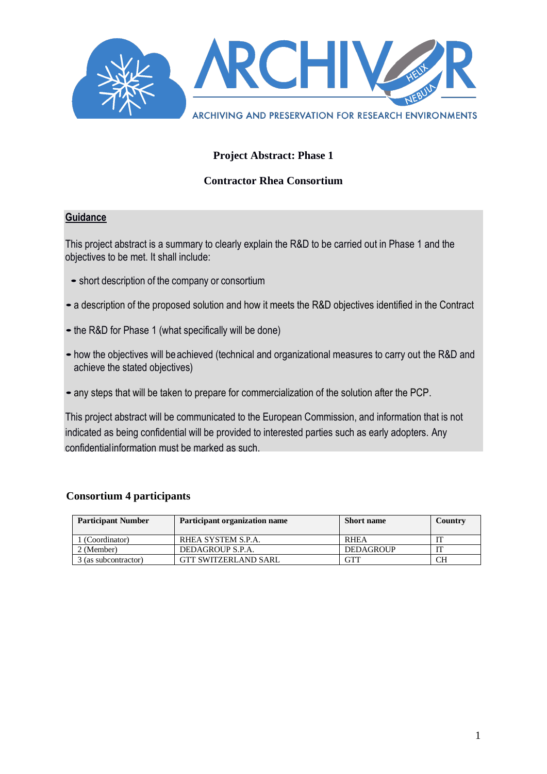

#### **Project Abstract: Phase 1**

#### **Contractor Rhea Consortium**

#### **Guidance**

This project abstract is a summary to clearly explain the R&D to be carried out in Phase 1 and the objectives to be met. It shall include:

- short description of the company or consortium
- •a description of the proposed solution and how it meets the R&D objectives identified in the Contract
- the R&D for Phase 1 (what specifically will be done)
- •how the objectives will beachieved (technical and organizational measures to carry out the R&D and achieve the stated objectives)
- •any steps that will be taken to prepare for commercialization of the solution after the PCP.

This project abstract will be communicated to the European Commission, and information that is not indicated as being confidential will be provided to interested parties such as early adopters. Any confidentialinformation must be marked as such.

#### **Consortium 4 participants**

| <b>Participant Number</b> | Participant organization name | <b>Short name</b> | Country |
|---------------------------|-------------------------------|-------------------|---------|
| 1 (Coordinator)           | RHEA SYSTEM S.P.A.            | <b>RHEA</b>       |         |
| 2 (Member)                | DEDAGROUP S.P.A.              | <b>DEDAGROUP</b>  |         |
| 3 (as subcontractor)      | <b>GTT SWITZERLAND SARL</b>   | GTT               | CН      |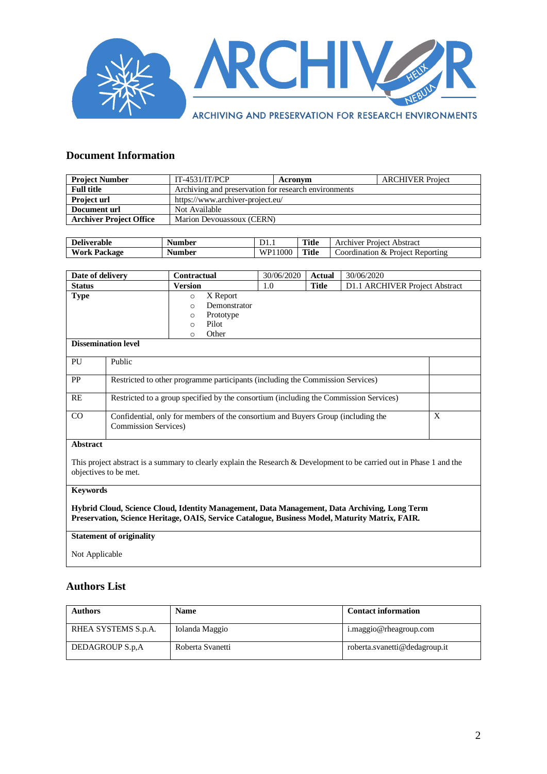

#### **Document Information**

| <b>Project Number</b>          | $IT-4531/IT/PCP$                                     | Acronym | <b>ARCHIVER Project</b> |
|--------------------------------|------------------------------------------------------|---------|-------------------------|
| <b>Full title</b>              | Archiving and preservation for research environments |         |                         |
| <b>Project url</b>             | https://www.archiver-project.eu/                     |         |                         |
| Document url                   | Not Available                                        |         |                         |
| <b>Archiver Project Office</b> | Marion Devouassoux (CERN)                            |         |                         |

| <b>Deliverable</b>  | Number | D <sub>1.1</sub> | <b>Title</b> | Archiver Project Abstract        |
|---------------------|--------|------------------|--------------|----------------------------------|
| <b>Work Package</b> | Number | WP11000          | <b>Title</b> | Coordination & Project Reporting |

| Date of delivery           | Contractual          | 30/06/2020 | <b>Actual</b> | 30/06/2020                     |
|----------------------------|----------------------|------------|---------------|--------------------------------|
| <b>Status</b>              | Version              | 1.0        | <b>Title</b>  | D1.1 ARCHIVER Project Abstract |
| <b>Type</b>                | X Report<br>$\circ$  |            |               |                                |
|                            | Demonstrator<br>O    |            |               |                                |
|                            | Prototype<br>$\circ$ |            |               |                                |
|                            | Pilot<br>$\circ$     |            |               |                                |
|                            | Other<br>◠           |            |               |                                |
| <b>Dissemination level</b> |                      |            |               |                                |
|                            |                      |            |               |                                |

| PU        | Public                                                                                                           |   |
|-----------|------------------------------------------------------------------------------------------------------------------|---|
| <b>PP</b> | Restricted to other programme participants (including the Commission Services)                                   |   |
| RE        | Restricted to a group specified by the consortium (including the Commission Services)                            |   |
| CO        | Confidential, only for members of the consortium and Buyers Group (including the<br><b>Commission Services</b> ) | Х |

#### **Abstract**

This project abstract is a summary to clearly explain the Research & Development to be carried out in Phase 1 and the objectives to be met.

#### **Keywords**

**Hybrid Cloud, Science Cloud, Identity Management, Data Management, Data Archiving, Long Term Preservation, Science Heritage, OAIS, Service Catalogue, Business Model, Maturity Matrix, FAIR.**

#### **Statement of originality**

Not Applicable

#### **Authors List**

| <b>Authors</b>      | <b>Name</b>      | <b>Contact information</b>    |
|---------------------|------------------|-------------------------------|
| RHEA SYSTEMS S.p.A. | Iolanda Maggio   | i.maggio@rheagroup.com        |
| DEDAGROUP S.p.A     | Roberta Svanetti | roberta.svanetti@dedagroup.it |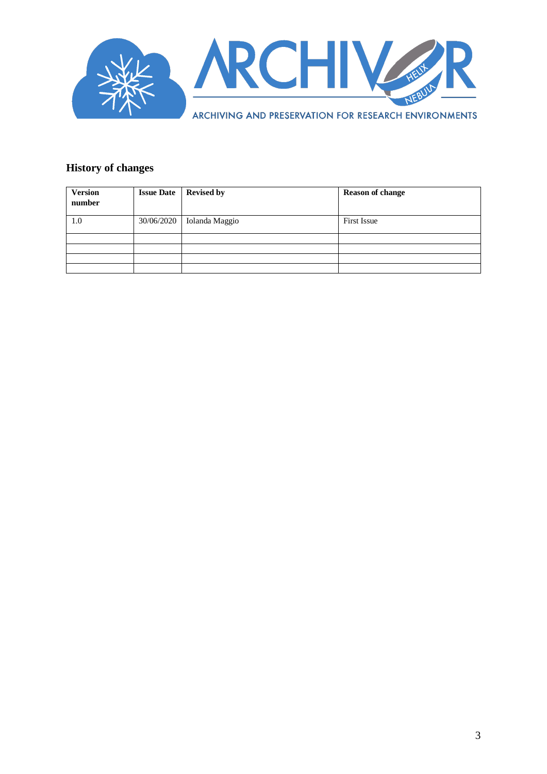

#### **History of changes**

| <b>Version</b><br>number | <b>Issue Date</b> | <b>Revised by</b> | <b>Reason of change</b> |
|--------------------------|-------------------|-------------------|-------------------------|
| 1.0                      | 30/06/2020        | Iolanda Maggio    | <b>First Issue</b>      |
|                          |                   |                   |                         |
|                          |                   |                   |                         |
|                          |                   |                   |                         |
|                          |                   |                   |                         |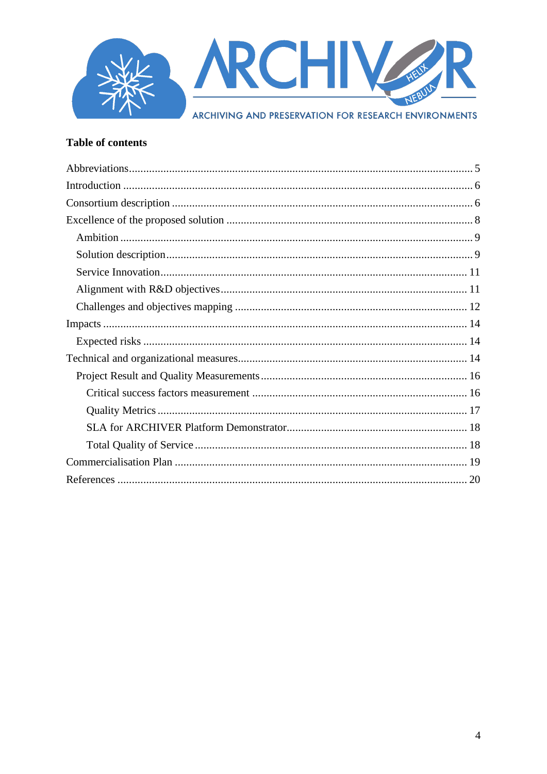

#### **Table of contents**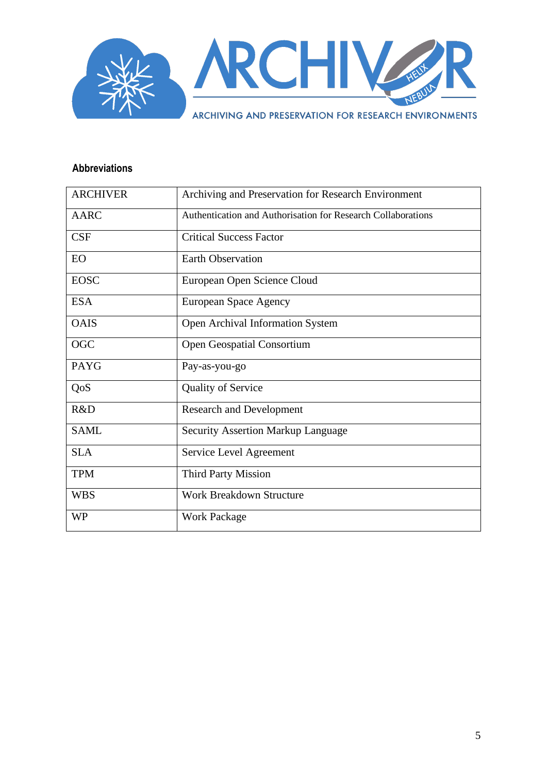

#### <span id="page-4-0"></span>**Abbreviations**

| <b>ARCHIVER</b> | Archiving and Preservation for Research Environment          |
|-----------------|--------------------------------------------------------------|
| <b>AARC</b>     | Authentication and Authorisation for Research Collaborations |
| CSF             | <b>Critical Success Factor</b>                               |
| EO              | <b>Earth Observation</b>                                     |
| <b>EOSC</b>     | European Open Science Cloud                                  |
| <b>ESA</b>      | European Space Agency                                        |
| <b>OAIS</b>     | Open Archival Information System                             |
| <b>OGC</b>      | <b>Open Geospatial Consortium</b>                            |
| <b>PAYG</b>     | Pay-as-you-go                                                |
| QoS             | <b>Quality of Service</b>                                    |
| R&D             | <b>Research and Development</b>                              |
| <b>SAML</b>     | <b>Security Assertion Markup Language</b>                    |
| <b>SLA</b>      | Service Level Agreement                                      |
| <b>TPM</b>      | <b>Third Party Mission</b>                                   |
| <b>WBS</b>      | <b>Work Breakdown Structure</b>                              |
| <b>WP</b>       | <b>Work Package</b>                                          |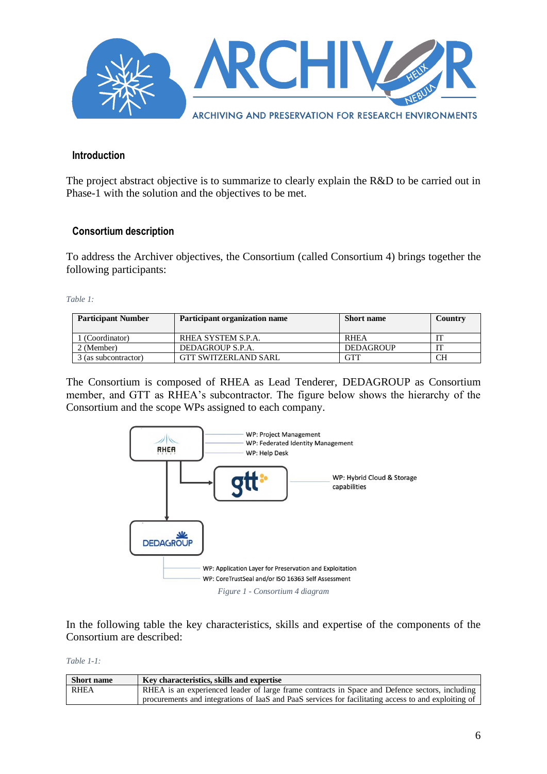

#### <span id="page-5-0"></span>**Introduction**

The project abstract objective is to summarize to clearly explain the R&D to be carried out in Phase-1 with the solution and the objectives to be met.

#### <span id="page-5-1"></span>**Consortium description**

To address the Archiver objectives, the Consortium (called Consortium 4) brings together the following participants:

*Table 1:*

| <b>Participant Number</b> | Participant organization name | <b>Short name</b> | Country |
|---------------------------|-------------------------------|-------------------|---------|
| (Coordinator)             | RHEA SYSTEM S.P.A.            | <b>RHEA</b>       |         |
| 2 (Member)                | DEDAGROUP S.P.A.              | <b>DEDAGROUP</b>  |         |
| 3 (as subcontractor)      | <b>GTT SWITZERLAND SARL</b>   | GTT               | CН      |

The Consortium is composed of RHEA as Lead Tenderer, DEDAGROUP as Consortium member, and GTT as RHEA's subcontractor. The figure below shows the hierarchy of the Consortium and the scope WPs assigned to each company.



In the following table the key characteristics, skills and expertise of the components of the Consortium are described:

*Table 1-1:*

| <b>Short name</b> | Key characteristics, skills and expertise                                                            |
|-------------------|------------------------------------------------------------------------------------------------------|
| RHEA              | RHEA is an experienced leader of large frame contracts in Space and Defence sectors, including       |
|                   | procurements and integrations of IaaS and PaaS services for facilitating access to and exploiting of |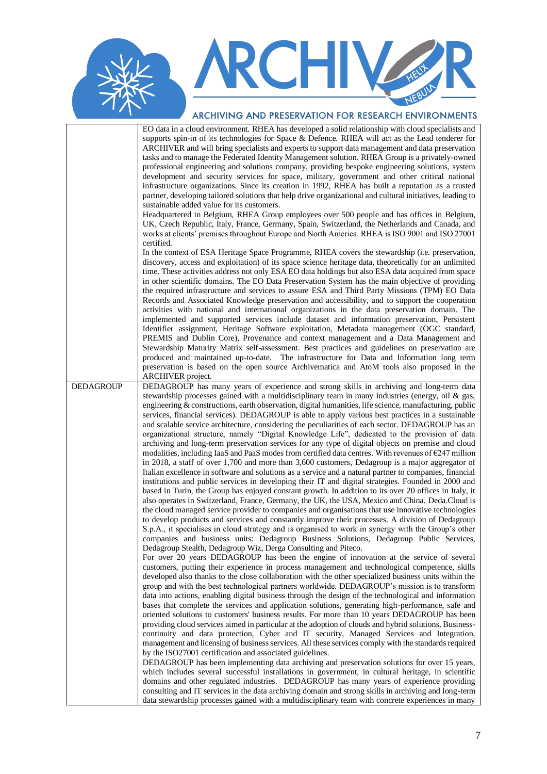### **ARCHIVERS** NERU

#### ARCHIVING AND PRESERVATION FOR RESEARCH ENVIRONMENTS

|                  | EO data in a cloud environment. RHEA has developed a solid relationship with cloud specialists and<br>supports spin-in of its technologies for Space & Defence. RHEA will act as the Lead tenderer for<br>ARCHIVER and will bring specialists and experts to support data management and data preservation<br>tasks and to manage the Federated Identity Management solution. RHEA Group is a privately-owned<br>professional engineering and solutions company, providing bespoke engineering solutions, system<br>development and security services for space, military, government and other critical national<br>infrastructure organizations. Since its creation in 1992, RHEA has built a reputation as a trusted<br>partner, developing tailored solutions that help drive organizational and cultural initiatives, leading to<br>sustainable added value for its customers.<br>Headquartered in Belgium, RHEA Group employees over 500 people and has offices in Belgium,<br>UK, Czech Republic, Italy, France, Germany, Spain, Switzerland, the Netherlands and Canada, and<br>works at clients' premises throughout Europe and North America. RHEA is ISO 9001 and ISO 27001<br>certified.<br>In the context of ESA Heritage Space Programme, RHEA covers the stewardship (i.e. preservation,<br>discovery, access and exploitation) of its space science heritage data, theoretically for an unlimited<br>time. These activities address not only ESA EO data holdings but also ESA data acquired from space<br>in other scientific domains. The EO Data Preservation System has the main objective of providing<br>the required infrastructure and services to assure ESA and Third Party Missions (TPM) EO Data<br>Records and Associated Knowledge preservation and accessibility, and to support the cooperation<br>activities with national and international organizations in the data preservation domain. The<br>implemented and supported services include dataset and information preservation, Persistent<br>Identifier assignment, Heritage Software exploitation, Metadata management (OGC standard,<br>PREMIS and Dublin Core), Provenance and context management and a Data Management and<br>Stewardship Maturity Matrix self-assessment. Best practices and guidelines on preservation are<br>produced and maintained up-to-date. The infrastructure for Data and Information long term                                                                                                                                                                                                                                                                                                                                                                                                                                                                                                                                                                                                                                                                                                                                                                                                                                                                                                                                                             |
|------------------|---------------------------------------------------------------------------------------------------------------------------------------------------------------------------------------------------------------------------------------------------------------------------------------------------------------------------------------------------------------------------------------------------------------------------------------------------------------------------------------------------------------------------------------------------------------------------------------------------------------------------------------------------------------------------------------------------------------------------------------------------------------------------------------------------------------------------------------------------------------------------------------------------------------------------------------------------------------------------------------------------------------------------------------------------------------------------------------------------------------------------------------------------------------------------------------------------------------------------------------------------------------------------------------------------------------------------------------------------------------------------------------------------------------------------------------------------------------------------------------------------------------------------------------------------------------------------------------------------------------------------------------------------------------------------------------------------------------------------------------------------------------------------------------------------------------------------------------------------------------------------------------------------------------------------------------------------------------------------------------------------------------------------------------------------------------------------------------------------------------------------------------------------------------------------------------------------------------------------------------------------------------------------------------------------------------------------------------------------------------------------------------------------------------------------------------------------------------------------------------------------------------------------------------------------------------------------------------------------------------------------------------------------------------------------------------------------------------------------------------------------------------------------------------------------------------------------------------------------------------------------------------------------------------------------------------------------------------------------------------------------------------------------------------------------------------------------------------------------------------------------------------------------------------------------------------------------------------------------------------------------------------------------------------------------------------------------------------------------------------------------------|
|                  | preservation is based on the open source Archivematica and AtoM tools also proposed in the                                                                                                                                                                                                                                                                                                                                                                                                                                                                                                                                                                                                                                                                                                                                                                                                                                                                                                                                                                                                                                                                                                                                                                                                                                                                                                                                                                                                                                                                                                                                                                                                                                                                                                                                                                                                                                                                                                                                                                                                                                                                                                                                                                                                                                                                                                                                                                                                                                                                                                                                                                                                                                                                                                                                                                                                                                                                                                                                                                                                                                                                                                                                                                                                                                                                                      |
| <b>DEDAGROUP</b> | ARCHIVER project.<br>DEDAGROUP has many years of experience and strong skills in archiving and long-term data                                                                                                                                                                                                                                                                                                                                                                                                                                                                                                                                                                                                                                                                                                                                                                                                                                                                                                                                                                                                                                                                                                                                                                                                                                                                                                                                                                                                                                                                                                                                                                                                                                                                                                                                                                                                                                                                                                                                                                                                                                                                                                                                                                                                                                                                                                                                                                                                                                                                                                                                                                                                                                                                                                                                                                                                                                                                                                                                                                                                                                                                                                                                                                                                                                                                   |
|                  | stewardship processes gained with a multidisciplinary team in many industries (energy, oil $\&$ gas,<br>engineering & constructions, earth observation, digital humanities, life science, manufacturing, public<br>services, financial services). DEDAGROUP is able to apply various best practices in a sustainable<br>and scalable service architecture, considering the peculiarities of each sector. DEDAGROUP has an<br>organizational structure, namely "Digital Knowledge Life", dedicated to the provision of data<br>archiving and long-term preservation services for any type of digital objects on premise and cloud<br>modalities, including IaaS and PaaS modes from certified data centres. With revenues of $\epsilon$ 247 million<br>in 2018, a staff of over 1,700 and more than 3,600 customers, Dedagroup is a major aggregator of<br>Italian excellence in software and solutions as a service and a natural partner to companies, financial<br>institutions and public services in developing their IT and digital strategies. Founded in 2000 and<br>based in Turin, the Group has enjoyed constant growth. In addition to its over 20 offices in Italy, it<br>also operates in Switzerland, France, Germany, the UK, the USA, Mexico and China. Deda.Cloud is<br>the cloud managed service provider to companies and organisations that use innovative technologies<br>to develop products and services and constantly improve their processes. A division of Dedagroup<br>S.p.A., it specialises in cloud strategy and is organised to work in synergy with the Group's other<br>companies and business units: Dedagroup Business Solutions, Dedagroup Public Services,<br>Dedagroup Stealth, Dedagroup Wiz, Derga Consulting and Piteco.<br>For over 20 years DEDAGROUP has been the engine of innovation at the service of several<br>customers, putting their experience in process management and technological competence, skills<br>developed also thanks to the close collaboration with the other specialized business units within the<br>group and with the best technological partners worldwide. DEDAGROUP's mission is to transform<br>data into actions, enabling digital business through the design of the technological and information<br>bases that complete the services and application solutions, generating high-performance, safe and<br>oriented solutions to customers' business results. For more than 10 years DEDAGROUP has been<br>providing cloud services aimed in particular at the adoption of clouds and hybrid solutions, Business-<br>continuity and data protection, Cyber and IT security, Managed Services and Integration,<br>management and licensing of business services. All these services comply with the standards required<br>by the ISO27001 certification and associated guidelines.<br>DEDAGROUP has been implementing data archiving and preservation solutions for over 15 years,<br>which includes several successful installations in government, in cultural heritage, in scientific<br>domains and other regulated industries. DEDAGROUP has many years of experience providing<br>consulting and IT services in the data archiving domain and strong skills in archiving and long-term<br>data stewardship processes gained with a multidisciplinary team with concrete experiences in many |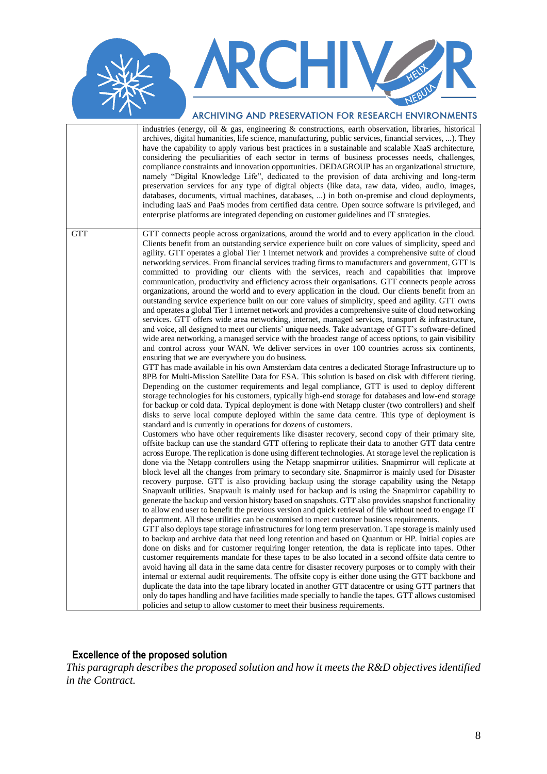## RCHIV

#### ARCHIVING AND PRESERVATION FOR RESEARCH ENVIRONMENTS

|            | industries (energy, oil & gas, engineering & constructions, earth observation, libraries, historical<br>archives, digital humanities, life science, manufacturing, public services, financial services, ). They<br>have the capability to apply various best practices in a sustainable and scalable XaaS architecture,<br>considering the peculiarities of each sector in terms of business processes needs, challenges,<br>compliance constraints and innovation opportunities. DEDAGROUP has an organizational structure,<br>namely "Digital Knowledge Life", dedicated to the provision of data archiving and long-term<br>preservation services for any type of digital objects (like data, raw data, video, audio, images,<br>databases, documents, virtual machines, databases, ) in both on-premise and cloud deployments,<br>including IaaS and PaaS modes from certified data centre. Open source software is privileged, and<br>enterprise platforms are integrated depending on customer guidelines and IT strategies.                                                                                                                                                                                                                                                                                                                                                                                                                                                                                                                                                                                                                                                                                                                                                                                                                                                                                                                                                                                                                                                                                                                                                                                                                                                                                                                                                                                                                                                                                                                                                                                                                                                                                                                                                                                                                                                                                                                                                                                                                                                                                                                                                                                                                                                                                                                                                                                                                                                                                                                                                                                                                                                                                                                                                                                                                                                                                                                                                                                                                                                                                         |
|------------|----------------------------------------------------------------------------------------------------------------------------------------------------------------------------------------------------------------------------------------------------------------------------------------------------------------------------------------------------------------------------------------------------------------------------------------------------------------------------------------------------------------------------------------------------------------------------------------------------------------------------------------------------------------------------------------------------------------------------------------------------------------------------------------------------------------------------------------------------------------------------------------------------------------------------------------------------------------------------------------------------------------------------------------------------------------------------------------------------------------------------------------------------------------------------------------------------------------------------------------------------------------------------------------------------------------------------------------------------------------------------------------------------------------------------------------------------------------------------------------------------------------------------------------------------------------------------------------------------------------------------------------------------------------------------------------------------------------------------------------------------------------------------------------------------------------------------------------------------------------------------------------------------------------------------------------------------------------------------------------------------------------------------------------------------------------------------------------------------------------------------------------------------------------------------------------------------------------------------------------------------------------------------------------------------------------------------------------------------------------------------------------------------------------------------------------------------------------------------------------------------------------------------------------------------------------------------------------------------------------------------------------------------------------------------------------------------------------------------------------------------------------------------------------------------------------------------------------------------------------------------------------------------------------------------------------------------------------------------------------------------------------------------------------------------------------------------------------------------------------------------------------------------------------------------------------------------------------------------------------------------------------------------------------------------------------------------------------------------------------------------------------------------------------------------------------------------------------------------------------------------------------------------------------------------------------------------------------------------------------------------------------------------------------------------------------------------------------------------------------------------------------------------------------------------------------------------------------------------------------------------------------------------------------------------------------------------------------------------------------------------------------------------------------------------------------------------------------------------------------------------|
| <b>GTT</b> | GTT connects people across organizations, around the world and to every application in the cloud.<br>Clients benefit from an outstanding service experience built on core values of simplicity, speed and<br>agility. GTT operates a global Tier 1 internet network and provides a comprehensive suite of cloud<br>networking services. From financial services trading firms to manufacturers and government, GTT is<br>committed to providing our clients with the services, reach and capabilities that improve<br>communication, productivity and efficiency across their organisations. GTT connects people across<br>organizations, around the world and to every application in the cloud. Our clients benefit from an<br>outstanding service experience built on our core values of simplicity, speed and agility. GTT owns<br>and operates a global Tier 1 internet network and provides a comprehensive suite of cloud networking<br>services. GTT offers wide area networking, internet, managed services, transport & infrastructure,<br>and voice, all designed to meet our clients' unique needs. Take advantage of GTT's software-defined<br>wide area networking, a managed service with the broadest range of access options, to gain visibility<br>and control across your WAN. We deliver services in over 100 countries across six continents,<br>ensuring that we are everywhere you do business.<br>GTT has made available in his own Amsterdam data centres a dedicated Storage Infrastructure up to<br>8PB for Multi-Mission Satellite Data for ESA. This solution is based on disk with different tiering.<br>Depending on the customer requirements and legal compliance, GTT is used to deploy different<br>storage technologies for his customers, typically high-end storage for databases and low-end storage<br>for backup or cold data. Typical deployment is done with Netapp cluster (two controllers) and shelf<br>disks to serve local compute deployed within the same data centre. This type of deployment is<br>standard and is currently in operations for dozens of customers.<br>Customers who have other requirements like disaster recovery, second copy of their primary site,<br>offsite backup can use the standard GTT offering to replicate their data to another GTT data centre<br>across Europe. The replication is done using different technologies. At storage level the replication is<br>done via the Netapp controllers using the Netapp snapmirror utilities. Snapmirror will replicate at<br>block level all the changes from primary to secondary site. Snapmirror is mainly used for Disaster<br>recovery purpose. GTT is also providing backup using the storage capability using the Netapp<br>Snapvault utilities. Snapvault is mainly used for backup and is using the Snapmirror capability to<br>generate the backup and version history based on snapshots. GTT also provides snapshot functionality<br>to allow end user to benefit the previous version and quick retrieval of file without need to engage IT<br>department. All these utilities can be customised to meet customer business requirements.<br>GTT also deploys tape storage infrastructures for long term preservation. Tape storage is mainly used<br>to backup and archive data that need long retention and based on Quantum or HP. Initial copies are<br>done on disks and for customer requiring longer retention, the data is replicate into tapes. Other<br>customer requirements mandate for these tapes to be also located in a second offsite data centre to<br>avoid having all data in the same data centre for disaster recovery purposes or to comply with their<br>internal or external audit requirements. The offsite copy is either done using the GTT backbone and<br>duplicate the data into the tape library located in another GTT datacentre or using GTT partners that<br>only do tapes handling and have facilities made specially to handle the tapes. GTT allows customised<br>policies and setup to allow customer to meet their business requirements. |

#### <span id="page-7-0"></span>**Excellence of the proposed solution**

*This paragraph describes the proposed solution and how it meets the R&D objectives identified in the Contract.*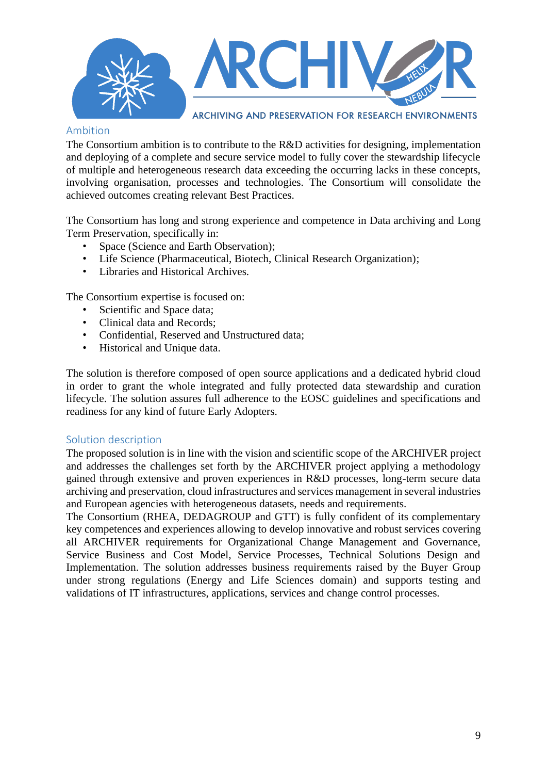

#### <span id="page-8-0"></span>Ambition

The Consortium ambition is to contribute to the R&D activities for designing, implementation and deploying of a complete and secure service model to fully cover the stewardship lifecycle of multiple and heterogeneous research data exceeding the occurring lacks in these concepts, involving organisation, processes and technologies. The Consortium will consolidate the achieved outcomes creating relevant Best Practices.

The Consortium has long and strong experience and competence in Data archiving and Long Term Preservation, specifically in:

- Space (Science and Earth Observation);
- Life Science (Pharmaceutical, Biotech, Clinical Research Organization);
- Libraries and Historical Archives.

The Consortium expertise is focused on:

- Scientific and Space data:
- Clinical data and Records;
- Confidential, Reserved and Unstructured data;
- Historical and Unique data.

The solution is therefore composed of open source applications and a dedicated hybrid cloud in order to grant the whole integrated and fully protected data stewardship and curation lifecycle. The solution assures full adherence to the EOSC guidelines and specifications and readiness for any kind of future Early Adopters.

#### <span id="page-8-1"></span>Solution description

The proposed solution is in line with the vision and scientific scope of the ARCHIVER project and addresses the challenges set forth by the ARCHIVER project applying a methodology gained through extensive and proven experiences in R&D processes, long-term secure data archiving and preservation, cloud infrastructures and services management in several industries and European agencies with heterogeneous datasets, needs and requirements.

The Consortium (RHEA, DEDAGROUP and GTT) is fully confident of its complementary key competences and experiences allowing to develop innovative and robust services covering all ARCHIVER requirements for Organizational Change Management and Governance, Service Business and Cost Model, Service Processes, Technical Solutions Design and Implementation. The solution addresses business requirements raised by the Buyer Group under strong regulations (Energy and Life Sciences domain) and supports testing and validations of IT infrastructures, applications, services and change control processes.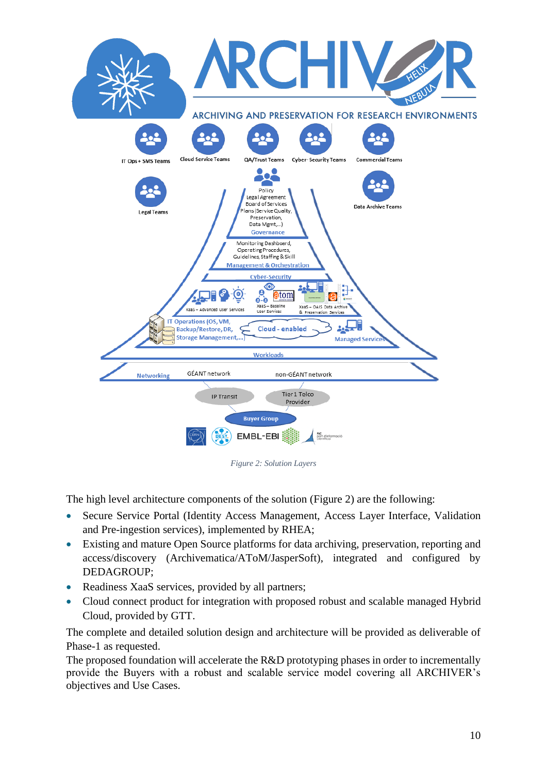

*Figure 2: Solution Layers*

The high level architecture components of the solution (Figure 2) are the following:

- Secure Service Portal (Identity Access Management, Access Layer Interface, Validation and Pre-ingestion services), implemented by RHEA;
- Existing and mature Open Source platforms for data archiving, preservation, reporting and access/discovery (Archivematica/AToM/JasperSoft), integrated and configured by DEDAGROUP;
- Readiness XaaS services, provided by all partners;
- Cloud connect product for integration with proposed robust and scalable managed Hybrid Cloud, provided by GTT.

The complete and detailed solution design and architecture will be provided as deliverable of Phase-1 as requested.

The proposed foundation will accelerate the R&D prototyping phases in order to incrementally provide the Buyers with a robust and scalable service model covering all ARCHIVER's objectives and Use Cases.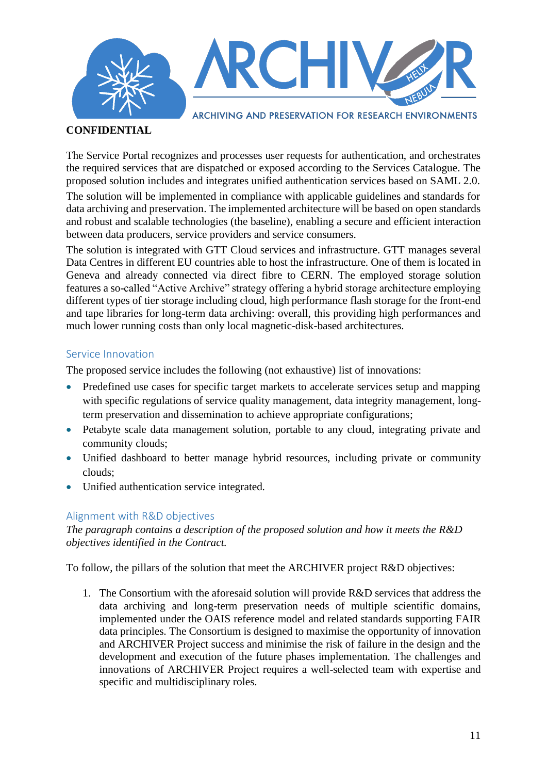

#### **CONFIDENTIAL**

The Service Portal recognizes and processes user requests for authentication, and orchestrates the required services that are dispatched or exposed according to the Services Catalogue. The proposed solution includes and integrates unified authentication services based on SAML 2.0.

The solution will be implemented in compliance with applicable guidelines and standards for data archiving and preservation. The implemented architecture will be based on open standards and robust and scalable technologies (the baseline), enabling a secure and efficient interaction between data producers, service providers and service consumers.

The solution is integrated with GTT Cloud services and infrastructure. GTT manages several Data Centres in different EU countries able to host the infrastructure. One of them is located in Geneva and already connected via direct fibre to CERN. The employed storage solution features a so-called "Active Archive" strategy offering a hybrid storage architecture employing different types of tier storage including cloud, high performance flash storage for the front-end and tape libraries for long-term data archiving: overall, this providing high performances and much lower running costs than only local magnetic-disk-based architectures.

#### <span id="page-10-0"></span>Service Innovation

The proposed service includes the following (not exhaustive) list of innovations:

- Predefined use cases for specific target markets to accelerate services setup and mapping with specific regulations of service quality management, data integrity management, longterm preservation and dissemination to achieve appropriate configurations;
- Petabyte scale data management solution, portable to any cloud, integrating private and community clouds;
- Unified dashboard to better manage hybrid resources, including private or community clouds;
- Unified authentication service integrated.

#### <span id="page-10-1"></span>Alignment with R&D objectives

*The paragraph contains a description of the proposed solution and how it meets the R&D objectives identified in the Contract.* 

To follow, the pillars of the solution that meet the ARCHIVER project R&D objectives:

1. The Consortium with the aforesaid solution will provide R&D services that address the data archiving and long-term preservation needs of multiple scientific domains, implemented under the OAIS reference model and related standards supporting FAIR data principles. The Consortium is designed to maximise the opportunity of innovation and ARCHIVER Project success and minimise the risk of failure in the design and the development and execution of the future phases implementation. The challenges and innovations of ARCHIVER Project requires a well-selected team with expertise and specific and multidisciplinary roles.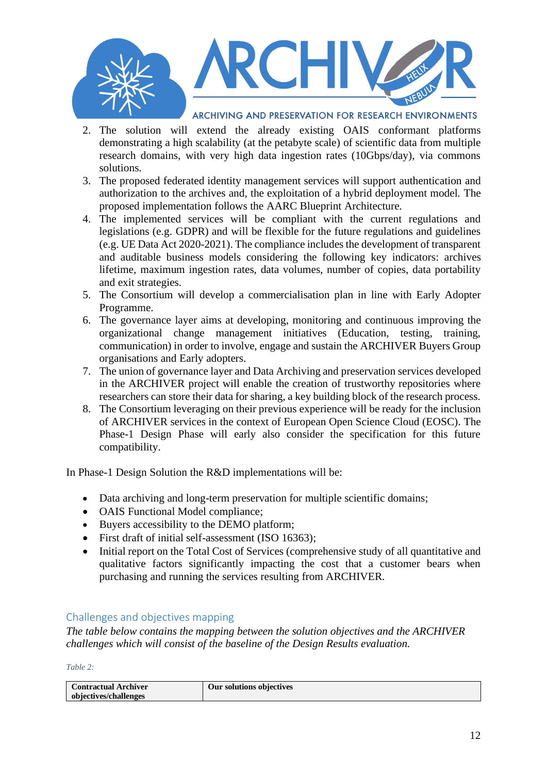

- 2. The solution will extend the already existing OAIS conformant platforms demonstrating a high scalability (at the petabyte scale) of scientific data from multiple research domains, with very high data ingestion rates (10Gbps/day), via commons solutions.
- 3. The proposed federated identity management services will support authentication and authorization to the archives and, the exploitation of a hybrid deployment model. The proposed implementation follows the AARC Blueprint Architecture.
- 4. The implemented services will be compliant with the current regulations and legislations (e.g. GDPR) and will be flexible for the future regulations and guidelines (e.g. UE Data Act 2020-2021). The compliance includes the development of transparent and auditable business models considering the following key indicators: archives lifetime, maximum ingestion rates, data volumes, number of copies, data portability and exit strategies.
- 5. The Consortium will develop a commercialisation plan in line with Early Adopter Programme.
- 6. The governance layer aims at developing, monitoring and continuous improving the organizational change management initiatives (Education, testing, training, communication) in order to involve, engage and sustain the ARCHIVER Buyers Group organisations and Early adopters.
- 7. The union of governance layer and Data Archiving and preservation services developed in the ARCHIVER project will enable the creation of trustworthy repositories where researchers can store their data for sharing, a key building block of the research process.
- 8. The Consortium leveraging on their previous experience will be ready for the inclusion of ARCHIVER services in the context of European Open Science Cloud (EOSC). The Phase-1 Design Phase will early also consider the specification for this future compatibility.

In Phase-1 Design Solution the R&D implementations will be:

- Data archiving and long-term preservation for multiple scientific domains;
- OAIS Functional Model compliance:
- Buyers accessibility to the DEMO platform;
- First draft of initial self-assessment (ISO 16363);
- Initial report on the Total Cost of Services (comprehensive study of all quantitative and qualitative factors significantly impacting the cost that a customer bears when purchasing and running the services resulting from ARCHIVER.

#### <span id="page-11-0"></span>Challenges and objectives mapping

*The table below contains the mapping between the solution objectives and the ARCHIVER challenges which will consist of the baseline of the Design Results evaluation.*

*Table 2:*

| <b>Contractual Archiver</b> | Our solutions objectives |
|-----------------------------|--------------------------|
|                             |                          |
| objectives/challenges       |                          |
|                             |                          |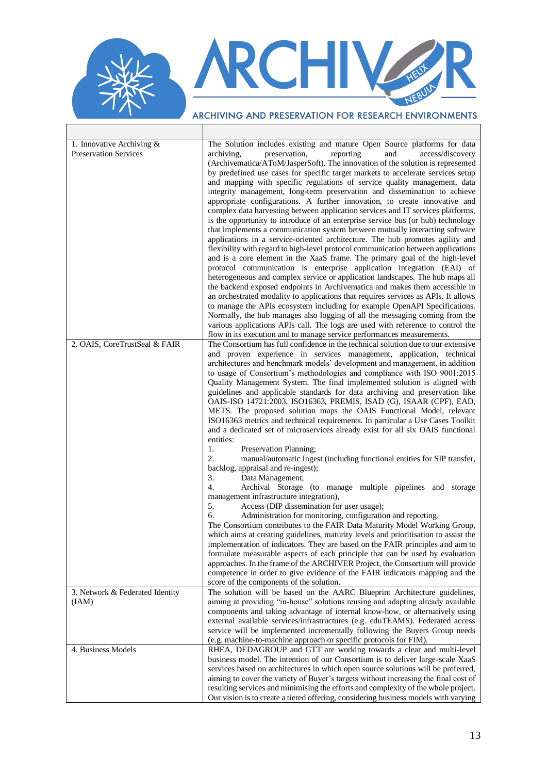# RCHIV NEW

 $\overline{\phantom{0}}$ 

ARCHIVING AND PRESERVATION FOR RESEARCH ENVIRONMENTS  $\top$ 

| 1. Innovative Archiving $&$<br><b>Preservation Services</b> | The Solution includes existing and mature Open Source platforms for data<br>archiving,<br>preservation,<br>reporting<br>and<br>access/discovery<br>(Archivematica/AToM/JasperSoft). The innovation of the solution is represented<br>by predefined use cases for specific target markets to accelerate services setup<br>and mapping with specific regulations of service quality management, data<br>integrity management, long-term preservation and dissemination to achieve<br>appropriate configurations. A further innovation, to create innovative and<br>complex data harvesting between application services and IT services platforms,<br>is the opportunity to introduce of an enterprise service bus (or hub) technology<br>that implements a communication system between mutually interacting software<br>applications in a service-oriented architecture. The hub promotes agility and<br>flexibility with regard to high-level protocol communication between applications<br>and is a core element in the XaaS frame. The primary goal of the high-level<br>protocol communication is enterprise application integration (EAI) of<br>heterogeneous and complex service or application landscapes. The hub maps all<br>the backend exposed endpoints in Archivematica and makes them accessible in<br>an orchestrated modality to applications that requires services as APIs. It allows<br>to manage the APIs ecosystem including for example OpenAPI Specifications.<br>Normally, the hub manages also logging of all the messaging coming from the<br>various applications APIs call. The logs are used with reference to control the |
|-------------------------------------------------------------|----------------------------------------------------------------------------------------------------------------------------------------------------------------------------------------------------------------------------------------------------------------------------------------------------------------------------------------------------------------------------------------------------------------------------------------------------------------------------------------------------------------------------------------------------------------------------------------------------------------------------------------------------------------------------------------------------------------------------------------------------------------------------------------------------------------------------------------------------------------------------------------------------------------------------------------------------------------------------------------------------------------------------------------------------------------------------------------------------------------------------------------------------------------------------------------------------------------------------------------------------------------------------------------------------------------------------------------------------------------------------------------------------------------------------------------------------------------------------------------------------------------------------------------------------------------------------------------------------------------------------------------------------------|
| 2. OAIS, CoreTrustSeal & FAIR                               | flow in its execution and to manage service performances measurements.<br>The Consortium has full confidence in the technical solution due to our extensive                                                                                                                                                                                                                                                                                                                                                                                                                                                                                                                                                                                                                                                                                                                                                                                                                                                                                                                                                                                                                                                                                                                                                                                                                                                                                                                                                                                                                                                                                              |
|                                                             | and proven experience in services management, application, technical<br>architectures and benchmark models' development and management, in addition<br>to usage of Consortium's methodologies and compliance with ISO 9001:2015<br>Quality Management System. The final implemented solution is aligned with<br>guidelines and applicable standards for data archiving and preservation like<br>OAIS-ISO 14721:2003, ISO16363, PREMIS, ISAD (G), ISAAR (CPF), EAD,<br>METS. The proposed solution maps the OAIS Functional Model, relevant<br>ISO16363 metrics and technical requirements. In particular a Use Cases Toolkit<br>and a dedicated set of microservices already exist for all six OAIS functional<br>entities:                                                                                                                                                                                                                                                                                                                                                                                                                                                                                                                                                                                                                                                                                                                                                                                                                                                                                                                              |
|                                                             | 1.<br>Preservation Planning;<br>2.<br>manual/automatic Ingest (including functional entities for SIP transfer,<br>backlog, appraisal and re-ingest);<br>3.                                                                                                                                                                                                                                                                                                                                                                                                                                                                                                                                                                                                                                                                                                                                                                                                                                                                                                                                                                                                                                                                                                                                                                                                                                                                                                                                                                                                                                                                                               |
|                                                             | Data Management;<br>4.<br>Archival Storage (to manage multiple pipelines and storage<br>management infrastructure integration),                                                                                                                                                                                                                                                                                                                                                                                                                                                                                                                                                                                                                                                                                                                                                                                                                                                                                                                                                                                                                                                                                                                                                                                                                                                                                                                                                                                                                                                                                                                          |
|                                                             | 5.<br>Access (DIP dissemination for user usage);<br>6.<br>Administration for monitoring, configuration and reporting.<br>The Consortium contributes to the FAIR Data Maturity Model Working Group,<br>which aims at creating guidelines, maturity levels and prioritisation to assist the<br>implementation of indicators. They are based on the FAIR principles and aim to<br>formulate measurable aspects of each principle that can be used by evaluation<br>approaches. In the frame of the ARCHIVER Project, the Consortium will provide<br>competence in order to give evidence of the FAIR indicators mapping and the<br>score of the components of the solution.                                                                                                                                                                                                                                                                                                                                                                                                                                                                                                                                                                                                                                                                                                                                                                                                                                                                                                                                                                                 |
| 3. Network & Federated Identity                             | The solution will be based on the AARC Blueprint Architecture guidelines,                                                                                                                                                                                                                                                                                                                                                                                                                                                                                                                                                                                                                                                                                                                                                                                                                                                                                                                                                                                                                                                                                                                                                                                                                                                                                                                                                                                                                                                                                                                                                                                |
| (IAM)                                                       | aiming at providing "in-house" solutions reusing and adapting already available<br>components and taking advantage of internal know-how, or alternatively using<br>external available services/infrastructures (e.g. eduTEAMS). Federated access<br>service will be implemented incrementally following the Buyers Group needs<br>(e.g. machine-to-machine approach or specific protocols for FIM).                                                                                                                                                                                                                                                                                                                                                                                                                                                                                                                                                                                                                                                                                                                                                                                                                                                                                                                                                                                                                                                                                                                                                                                                                                                      |
| 4. Business Models                                          | RHEA, DEDAGROUP and GTT are working towards a clear and multi-level<br>business model. The intention of our Consortium is to deliver large-scale XaaS<br>services based on architectures in which open source solutions will be preferred,<br>aiming to cover the variety of Buyer's targets without increasing the final cost of<br>resulting services and minimising the efforts and complexity of the whole project.<br>Our vision is to create a tiered offering, considering business models with varying                                                                                                                                                                                                                                                                                                                                                                                                                                                                                                                                                                                                                                                                                                                                                                                                                                                                                                                                                                                                                                                                                                                                           |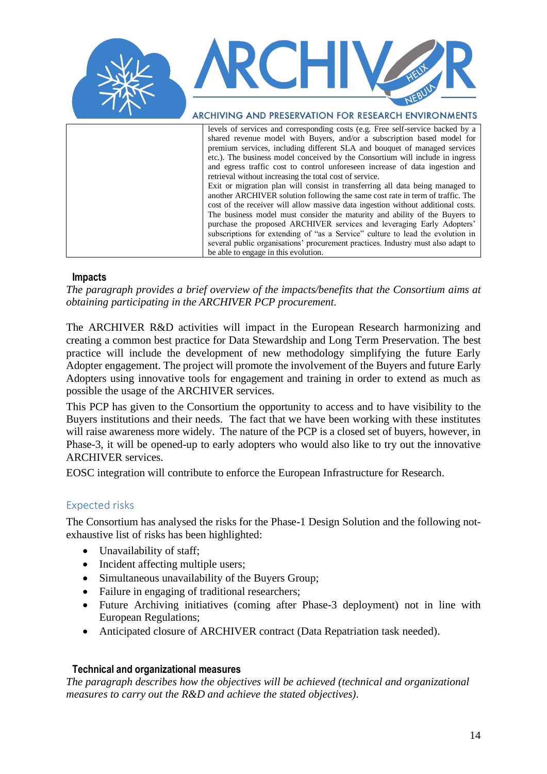

shared revenue model with Buyers, and/or a subscription based model for premium services, including different SLA and bouquet of managed services etc.). The business model conceived by the Consortium will include in ingress and egress traffic cost to control unforeseen increase of data ingestion and retrieval without increasing the total cost of service. Exit or migration plan will consist in transferring all data being managed to another ARCHIVER solution following the same cost rate in term of traffic. The cost of the receiver will allow massive data ingestion without additional costs. The business model must consider the maturity and ability of the Buyers to purchase the proposed ARCHIVER services and leveraging Early Adopters' subscriptions for extending of "as a Service" culture to lead the evolution in several public organisations' procurement practices. Industry must also adapt to

#### <span id="page-13-0"></span>**Impacts**

*The paragraph provides a brief overview of the impacts/benefits that the Consortium aims at obtaining participating in the ARCHIVER PCP procurement.*

be able to engage in this evolution.

The ARCHIVER R&D activities will impact in the European Research harmonizing and creating a common best practice for Data Stewardship and Long Term Preservation. The best practice will include the development of new methodology simplifying the future Early Adopter engagement. The project will promote the involvement of the Buyers and future Early Adopters using innovative tools for engagement and training in order to extend as much as possible the usage of the ARCHIVER services.

This PCP has given to the Consortium the opportunity to access and to have visibility to the Buyers institutions and their needs. The fact that we have been working with these institutes will raise awareness more widely. The nature of the PCP is a closed set of buyers, however, in Phase-3, it will be opened-up to early adopters who would also like to try out the innovative ARCHIVER services.

EOSC integration will contribute to enforce the European Infrastructure for Research.

#### <span id="page-13-1"></span>Expected risks

The Consortium has analysed the risks for the Phase-1 Design Solution and the following notexhaustive list of risks has been highlighted:

- Unavailability of staff;
- Incident affecting multiple users;
- Simultaneous unavailability of the Buyers Group;
- Failure in engaging of traditional researchers;
- Future Archiving initiatives (coming after Phase-3 deployment) not in line with European Regulations;
- Anticipated closure of ARCHIVER contract (Data Repatriation task needed).

#### <span id="page-13-2"></span>**Technical and organizational measures**

*The paragraph describes how the objectives will be achieved (technical and organizational measures to carry out the R&D and achieve the stated objectives).*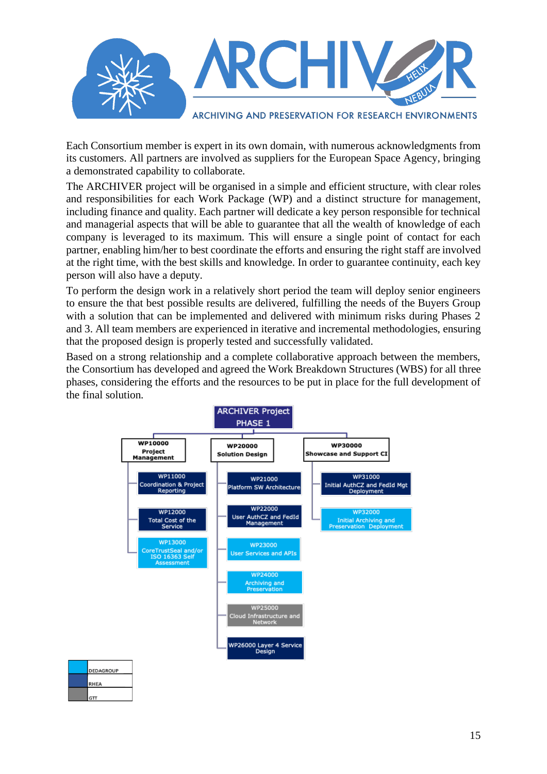

Each Consortium member is expert in its own domain, with numerous acknowledgments from its customers. All partners are involved as suppliers for the European Space Agency, bringing a demonstrated capability to collaborate.

The ARCHIVER project will be organised in a simple and efficient structure, with clear roles and responsibilities for each Work Package (WP) and a distinct structure for management, including finance and quality. Each partner will dedicate a key person responsible for technical and managerial aspects that will be able to guarantee that all the wealth of knowledge of each company is leveraged to its maximum. This will ensure a single point of contact for each partner, enabling him/her to best coordinate the efforts and ensuring the right staff are involved at the right time, with the best skills and knowledge. In order to guarantee continuity, each key person will also have a deputy.

To perform the design work in a relatively short period the team will deploy senior engineers to ensure the that best possible results are delivered, fulfilling the needs of the Buyers Group with a solution that can be implemented and delivered with minimum risks during Phases 2 and 3. All team members are experienced in iterative and incremental methodologies, ensuring that the proposed design is properly tested and successfully validated.

Based on a strong relationship and a complete collaborative approach between the members, the Consortium has developed and agreed the Work Breakdown Structures (WBS) for all three phases, considering the efforts and the resources to be put in place for the full development of the final solution.

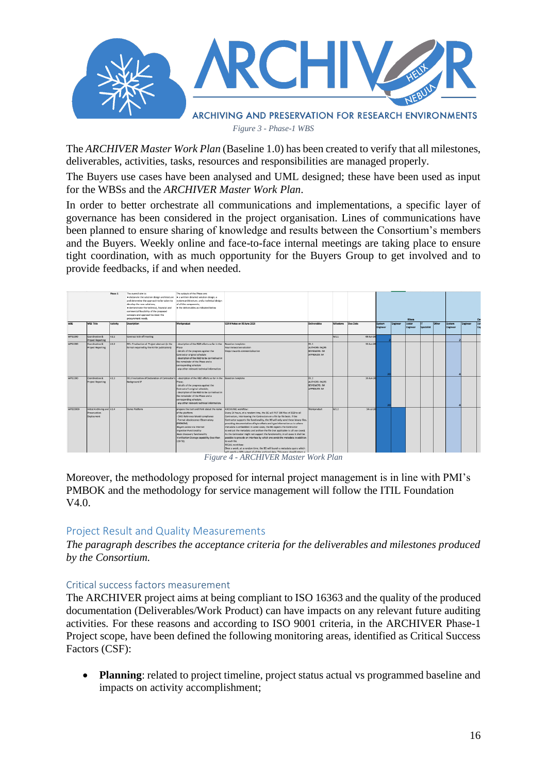

*Figure 3 - Phase-1 WBS*

The *ARCHIVER Master Work Plan* (Baseline 1.0) has been created to verify that all milestones, deliverables, activities, tasks, resources and responsibilities are managed properly.

The Buyers use cases have been analysed and UML designed; these have been used as input for the WBSs and the *ARCHIVER Master Work Plan*.

In order to better orchestrate all communications and implementations, a specific layer of governance has been considered in the project organisation. Lines of communications have been planned to ensure sharing of knowledge and results between the Consortium's members and the Buyers. Weekly online and face-to-face internal meetings are taking place to ensure tight coordination, with as much opportunity for the Buyers Group to get involved and to provide feedbacks, if and when needed.



*Figure 4 - ARCHIVER Master Work Plan*

Moreover, the methodology proposed for internal project management is in line with PMI's PMBOK and the methodology for service management will follow the ITIL Foundation V4.0.

#### <span id="page-15-0"></span>Project Result and Quality Measurements

*The paragraph describes the acceptance criteria for the deliverables and milestones produced by the Consortium.*

#### <span id="page-15-1"></span>Critical success factors measurement

The ARCHIVER project aims at being compliant to ISO 16363 and the quality of the produced documentation (Deliverables/Work Product) can have impacts on any relevant future auditing activities. For these reasons and according to ISO 9001 criteria, in the ARCHIVER Phase-1 Project scope, have been defined the following monitoring areas, identified as Critical Success Factors (CSF):

• **Planning**: related to project timeline, project status actual vs programmed baseline and impacts on activity accomplishment;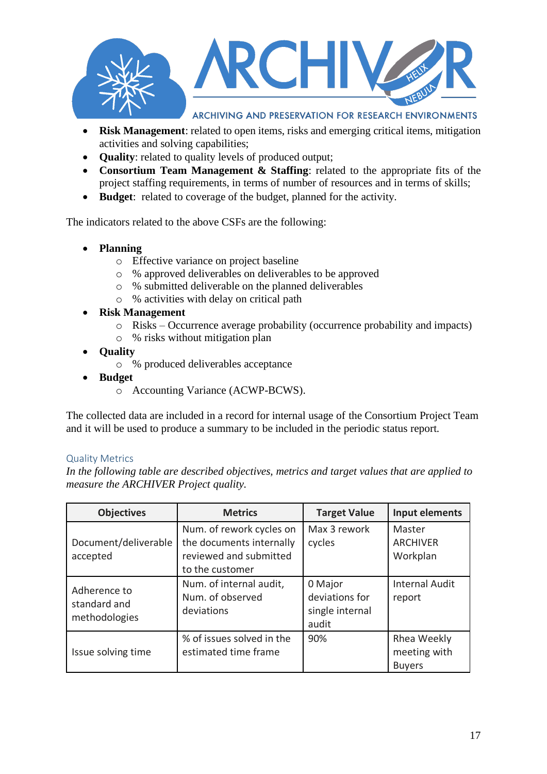

- **Risk Management**: related to open items, risks and emerging critical items, mitigation activities and solving capabilities;
- **Quality**: related to quality levels of produced output;
- **Consortium Team Management & Staffing**: related to the appropriate fits of the project staffing requirements, in terms of number of resources and in terms of skills;
- **Budget**: related to coverage of the budget, planned for the activity.

The indicators related to the above CSFs are the following:

- **Planning**
	- o Effective variance on project baseline
	- o % approved deliverables on deliverables to be approved
	- o % submitted deliverable on the planned deliverables
	- o % activities with delay on critical path
- **Risk Management**
	- o Risks Occurrence average probability (occurrence probability and impacts)
	- o % risks without mitigation plan
- **Quality**
	- o % produced deliverables acceptance
- **Budget**
	- o Accounting Variance (ACWP-BCWS).

The collected data are included in a record for internal usage of the Consortium Project Team and it will be used to produce a summary to be included in the periodic status report.

#### <span id="page-16-0"></span>Quality Metrics

*In the following table are described objectives, metrics and target values that are applied to measure the ARCHIVER Project quality.*

| <b>Objectives</b>                             | <b>Metrics</b>                                                                                    | <b>Target Value</b>                                   | Input elements                               |
|-----------------------------------------------|---------------------------------------------------------------------------------------------------|-------------------------------------------------------|----------------------------------------------|
| Document/deliverable<br>accepted              | Num. of rework cycles on<br>the documents internally<br>reviewed and submitted<br>to the customer | Max 3 rework<br>cycles                                | Master<br><b>ARCHIVER</b><br>Workplan        |
| Adherence to<br>standard and<br>methodologies | Num. of internal audit,<br>Num. of observed<br>deviations                                         | 0 Major<br>deviations for<br>single internal<br>audit | <b>Internal Audit</b><br>report              |
| Issue solving time                            | % of issues solved in the<br>estimated time frame                                                 | 90%                                                   | Rhea Weekly<br>meeting with<br><b>Buyers</b> |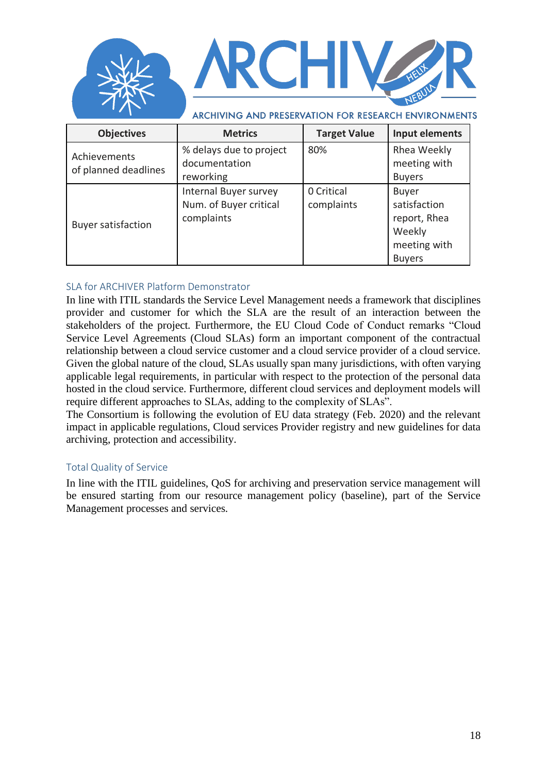

| <b>Objectives</b>                    | <b>Metrics</b>                                                | <b>Target Value</b>      | Input elements                                                                          |
|--------------------------------------|---------------------------------------------------------------|--------------------------|-----------------------------------------------------------------------------------------|
| Achievements<br>of planned deadlines | % delays due to project<br>documentation<br>reworking         | 80%                      | Rhea Weekly<br>meeting with<br><b>Buyers</b>                                            |
| <b>Buyer satisfaction</b>            | Internal Buyer survey<br>Num. of Buyer critical<br>complaints | 0 Critical<br>complaints | <b>Buyer</b><br>satisfaction<br>report, Rhea<br>Weekly<br>meeting with<br><b>Buyers</b> |

#### <span id="page-17-0"></span>SLA for ARCHIVER Platform Demonstrator

In line with ITIL standards the Service Level Management needs a framework that disciplines provider and customer for which the SLA are the result of an interaction between the stakeholders of the project. Furthermore, the EU Cloud Code of Conduct remarks "Cloud Service Level Agreements (Cloud SLAs) form an important component of the contractual relationship between a cloud service customer and a cloud service provider of a cloud service. Given the global nature of the cloud, SLAs usually span many jurisdictions, with often varying applicable legal requirements, in particular with respect to the protection of the personal data hosted in the cloud service. Furthermore, different cloud services and deployment models will require different approaches to SLAs, adding to the complexity of SLAs".

The Consortium is following the evolution of EU data strategy (Feb. 2020) and the relevant impact in applicable regulations, Cloud services Provider registry and new guidelines for data archiving, protection and accessibility.

#### <span id="page-17-1"></span>Total Quality of Service

In line with the ITIL guidelines, QoS for archiving and preservation service management will be ensured starting from our resource management policy (baseline), part of the Service Management processes and services.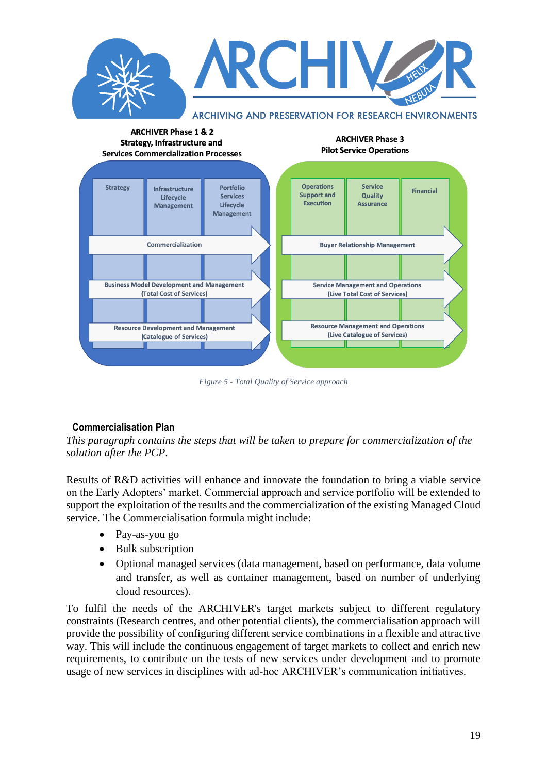

*Figure 5 - Total Quality of Service approach*

#### <span id="page-18-0"></span>**Commercialisation Plan**

*This paragraph contains the steps that will be taken to prepare for commercialization of the solution after the PCP*.

Results of R&D activities will enhance and innovate the foundation to bring a viable service on the Early Adopters' market. Commercial approach and service portfolio will be extended to support the exploitation of the results and the commercialization of the existing Managed Cloud service. The Commercialisation formula might include:

- Pay-as-you go
- Bulk subscription
- Optional managed services (data management, based on performance, data volume and transfer, as well as container management, based on number of underlying cloud resources).

To fulfil the needs of the ARCHIVER's target markets subject to different regulatory constraints (Research centres, and other potential clients), the commercialisation approach will provide the possibility of configuring different service combinations in a flexible and attractive way. This will include the continuous engagement of target markets to collect and enrich new requirements, to contribute on the tests of new services under development and to promote usage of new services in disciplines with ad-hoc ARCHIVER's communication initiatives.